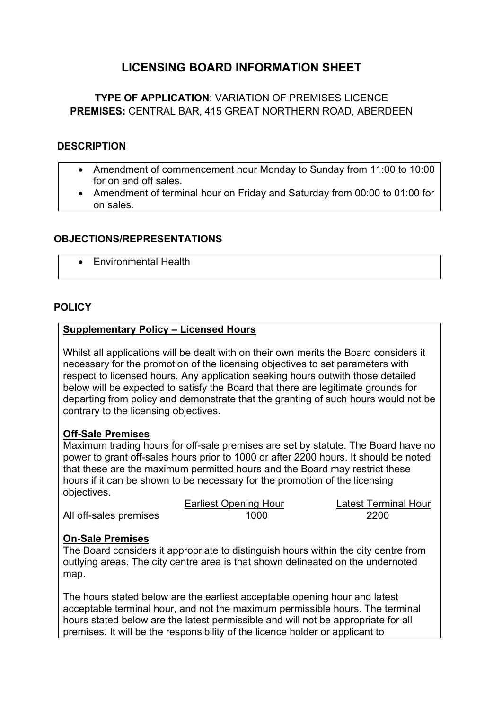## **LICENSING BOARD INFORMATION SHEET**

### **TYPE OF APPLICATION**: VARIATION OF PREMISES LICENCE **PREMISES:** CENTRAL BAR, 415 GREAT NORTHERN ROAD, ABERDEEN

#### **DESCRIPTION**

- Amendment of commencement hour Monday to Sunday from 11:00 to 10:00 for on and off sales.
- Amendment of terminal hour on Friday and Saturday from 00:00 to 01:00 for on sales.

#### **OBJECTIONS/REPRESENTATIONS**

• Environmental Health

#### **POLICY**

#### **Supplementary Policy – Licensed Hours**

Whilst all applications will be dealt with on their own merits the Board considers it necessary for the promotion of the licensing objectives to set parameters with respect to licensed hours. Any application seeking hours outwith those detailed below will be expected to satisfy the Board that there are legitimate grounds for departing from policy and demonstrate that the granting of such hours would not be contrary to the licensing objectives.

#### **Off-Sale Premises**

Maximum trading hours for off-sale premises are set by statute. The Board have no power to grant off-sales hours prior to 1000 or after 2200 hours. It should be noted that these are the maximum permitted hours and the Board may restrict these hours if it can be shown to be necessary for the promotion of the licensing objectives.

|                        | <b>Earliest Opening Hour</b> | Latest Terminal Hour |
|------------------------|------------------------------|----------------------|
| All off-sales premises | 1000                         | 2200                 |

#### **On-Sale Premises**

The Board considers it appropriate to distinguish hours within the city centre from outlying areas. The city centre area is that shown delineated on the undernoted map.

The hours stated below are the earliest acceptable opening hour and latest acceptable terminal hour, and not the maximum permissible hours. The terminal hours stated below are the latest permissible and will not be appropriate for all premises. It will be the responsibility of the licence holder or applicant to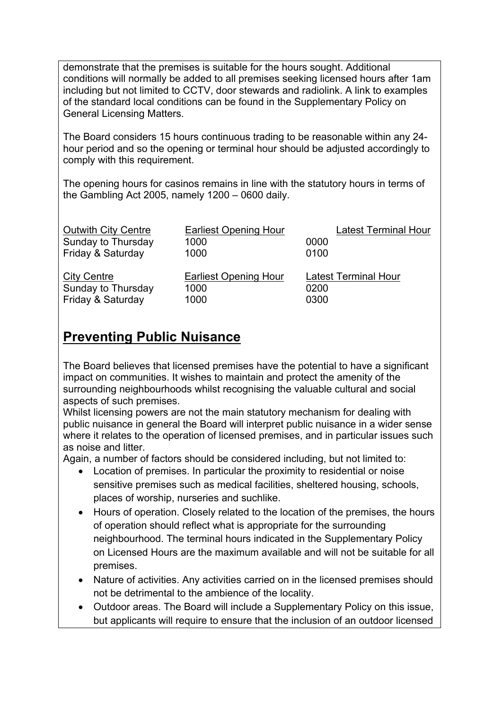demonstrate that the premises is suitable for the hours sought. Additional conditions will normally be added to all premises seeking licensed hours after 1am including but not limited to CCTV, door stewards and radiolink. A link to examples of the standard local conditions can be found in the Supplementary Policy on General Licensing Matters.

The Board considers 15 hours continuous trading to be reasonable within any 24 hour period and so the opening or terminal hour should be adjusted accordingly to comply with this requirement.

The opening hours for casinos remains in line with the statutory hours in terms of the Gambling Act 2005, namely 1200 – 0600 daily.

| <b>Outwith City Centre</b> | <b>Earliest Opening Hour</b> | <b>Latest Terminal Hour</b> |
|----------------------------|------------------------------|-----------------------------|
| Sunday to Thursday         | 1000                         | 0000                        |
| Friday & Saturday          | 1000                         | 0100                        |
|                            |                              |                             |
|                            |                              |                             |
| <b>City Centre</b>         | <b>Earliest Opening Hour</b> | <b>Latest Terminal Hour</b> |
| Sunday to Thursday         | 1000                         | 0200                        |
| Friday & Saturday          | 1000                         | 0300                        |

# **Preventing Public Nuisance**

The Board believes that licensed premises have the potential to have a significant impact on communities. It wishes to maintain and protect the amenity of the surrounding neighbourhoods whilst recognising the valuable cultural and social aspects of such premises.

Whilst licensing powers are not the main statutory mechanism for dealing with public nuisance in general the Board will interpret public nuisance in a wider sense where it relates to the operation of licensed premises, and in particular issues such as noise and litter.

Again, a number of factors should be considered including, but not limited to:

- Location of premises. In particular the proximity to residential or noise sensitive premises such as medical facilities, sheltered housing, schools, places of worship, nurseries and suchlike.
- Hours of operation. Closely related to the location of the premises, the hours of operation should reflect what is appropriate for the surrounding neighbourhood. The terminal hours indicated in the Supplementary Policy on Licensed Hours are the maximum available and will not be suitable for all premises.
- Nature of activities. Any activities carried on in the licensed premises should not be detrimental to the ambience of the locality.
- Outdoor areas. The Board will include a Supplementary Policy on this issue, but applicants will require to ensure that the inclusion of an outdoor licensed